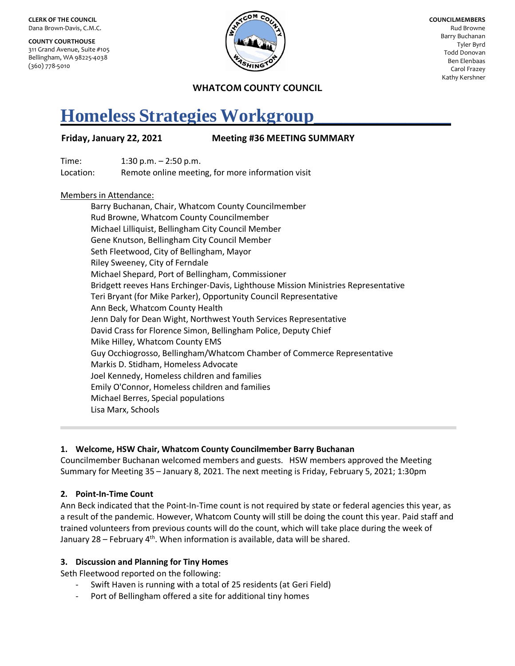**CLERK OF THE COUNCIL** Dana Brown-Davis, C.M.C.

**COUNTY COURTHOUSE** 311 Grand Avenue, Suite #105 Bellingham, WA 98225-4038 (360) 778-5010



**COUNCILMEMBERS** Rud Browne Barry Buchanan Tyler Byrd Todd Donovan Ben Elenbaas Carol Frazey Kathy Kershner

**WHATCOM COUNTY COUNCIL**

# **Homeless Strategies Workgroup\_\_\_\_\_\_\_\_\_\_\_\_\_\_\_**

## **Friday, January 22, 2021 Meeting #36 MEETING SUMMARY**

Time: 1:30 p.m. – 2:50 p.m. Location: Remote online meeting, for more information visit

### Members in Attendance:

Barry Buchanan, Chair, Whatcom County Councilmember Rud Browne, Whatcom County Councilmember Michael Lilliquist, Bellingham City Council Member Gene Knutson, Bellingham City Council Member Seth Fleetwood, City of Bellingham, Mayor Riley Sweeney, City of Ferndale Michael Shepard, Port of Bellingham, Commissioner Bridgett reeves Hans Erchinger-Davis, Lighthouse Mission Ministries Representative Teri Bryant (for Mike Parker), Opportunity Council Representative Ann Beck, Whatcom County Health Jenn Daly for Dean Wight, Northwest Youth Services Representative David Crass for Florence Simon, Bellingham Police, Deputy Chief Mike Hilley, Whatcom County EMS Guy Occhiogrosso, Bellingham/Whatcom Chamber of Commerce Representative Markis D. Stidham, Homeless Advocate Joel Kennedy, Homeless children and families Emily O'Connor, Homeless children and families Michael Berres, Special populations Lisa Marx, Schools

### **1. Welcome, HSW Chair, Whatcom County Councilmember Barry Buchanan**

Councilmember Buchanan welcomed members and guests. HSW members approved the Meeting Summary for Meeting 35 – January 8, 2021. The next meeting is Friday, February 5, 2021; 1:30pm

### **2. Point-In-Time Count**

Ann Beck indicated that the Point-In-Time count is not required by state or federal agencies this year, as a result of the pandemic. However, Whatcom County will still be doing the count this year. Paid staff and trained volunteers from previous counts will do the count, which will take place during the week of January 28 – February  $4<sup>th</sup>$ . When information is available, data will be shared.

### **3. Discussion and Planning for Tiny Homes**

Seth Fleetwood reported on the following:

- Swift Haven is running with a total of 25 residents (at Geri Field)
- Port of Bellingham offered a site for additional tiny homes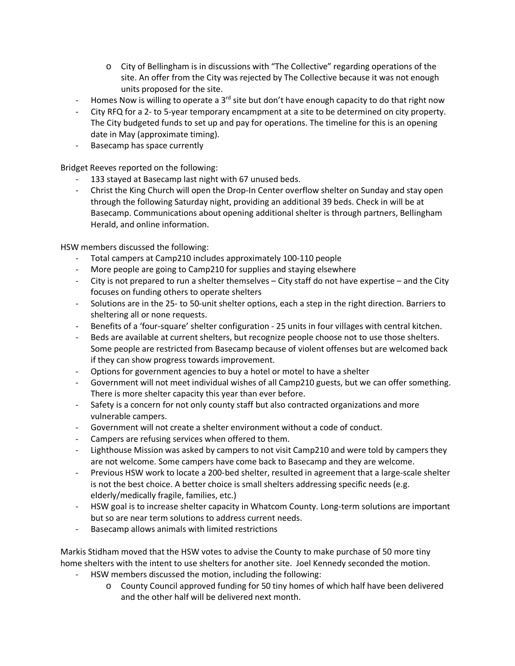- o City of Bellingham is in discussions with "The Collective" regarding operations of the site. An offer from the City was rejected by The Collective because it was not enough units proposed for the site.
- Homes Now is willing to operate a 3<sup>rd</sup> site but don't have enough capacity to do that right now
- City RFQ for a 2- to 5-year temporary encampment at a site to be determined on city property. The City budgeted funds to set up and pay for operations. The timeline for this is an opening date in May (approximate timing).
- Basecamp has space currently

Bridget Reeves reported on the following:

- 133 stayed at Basecamp last night with 67 unused beds.
- Christ the King Church will open the Drop-In Center overflow shelter on Sunday and stay open through the following Saturday night, providing an additional 39 beds. Check in will be at Basecamp. Communications about opening additional shelter is through partners, Bellingham Herald, and online information.

HSW members discussed the following:

- Total campers at Camp210 includes approximately 100-110 people
- More people are going to Camp210 for supplies and staying elsewhere
- City is not prepared to run a shelter themselves City staff do not have expertise and the City focuses on funding others to operate shelters
- Solutions are in the 25- to 50-unit shelter options, each a step in the right direction. Barriers to sheltering all or none requests.
- Benefits of a 'four-square' shelter configuration 25 units in four villages with central kitchen.
- Beds are available at current shelters, but recognize people choose not to use those shelters. Some people are restricted from Basecamp because of violent offenses but are welcomed back if they can show progress towards improvement.
- Options for government agencies to buy a hotel or motel to have a shelter
- Government will not meet individual wishes of all Camp210 guests, but we can offer something. There is more shelter capacity this year than ever before.
- Safety is a concern for not only county staff but also contracted organizations and more vulnerable campers.
- Government will not create a shelter environment without a code of conduct.
- Campers are refusing services when offered to them.
- Lighthouse Mission was asked by campers to not visit Camp210 and were told by campers they are not welcome. Some campers have come back to Basecamp and they are welcome.
- Previous HSW work to locate a 200-bed shelter, resulted in agreement that a large-scale shelter is not the best choice. A better choice is small shelters addressing specific needs (e.g. elderly/medically fragile, families, etc.)
- HSW goal is to increase shelter capacity in Whatcom County. Long-term solutions are important but so are near term solutions to address current needs.
- Basecamp allows animals with limited restrictions

Markis Stidham moved that the HSW votes to advise the County to make purchase of 50 more tiny home shelters with the intent to use shelters for another site. Joel Kennedy seconded the motion.

- HSW members discussed the motion, including the following:
	- o County Council approved funding for 50 tiny homes of which half have been delivered and the other half will be delivered next month.